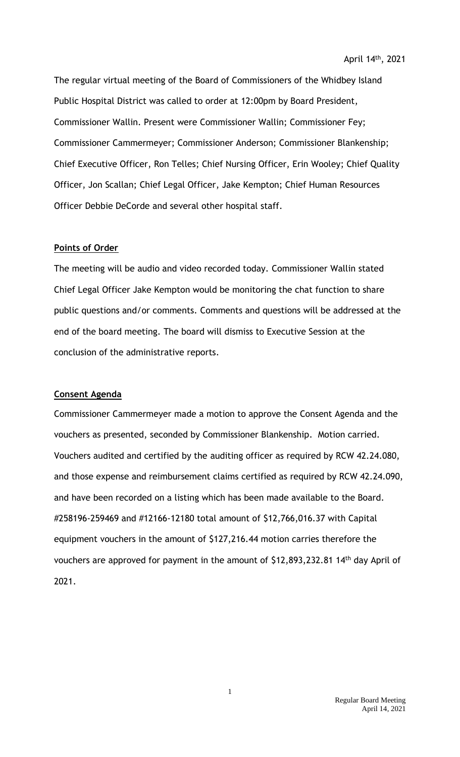The regular virtual meeting of the Board of Commissioners of the Whidbey Island Public Hospital District was called to order at 12:00pm by Board President, Commissioner Wallin. Present were Commissioner Wallin; Commissioner Fey; Commissioner Cammermeyer; Commissioner Anderson; Commissioner Blankenship; Chief Executive Officer, Ron Telles; Chief Nursing Officer, Erin Wooley; Chief Quality Officer, Jon Scallan; Chief Legal Officer, Jake Kempton; Chief Human Resources Officer Debbie DeCorde and several other hospital staff.

## **Points of Order**

The meeting will be audio and video recorded today. Commissioner Wallin stated Chief Legal Officer Jake Kempton would be monitoring the chat function to share public questions and/or comments. Comments and questions will be addressed at the end of the board meeting. The board will dismiss to Executive Session at the conclusion of the administrative reports.

### **Consent Agenda**

Commissioner Cammermeyer made a motion to approve the Consent Agenda and the vouchers as presented, seconded by Commissioner Blankenship. Motion carried. Vouchers audited and certified by the auditing officer as required by RCW 42.24.080, and those expense and reimbursement claims certified as required by RCW 42.24.090, and have been recorded on a listing which has been made available to the Board. #258196-259469 and #12166-12180 total amount of \$12,766,016.37 with Capital equipment vouchers in the amount of \$127,216.44 motion carries therefore the vouchers are approved for payment in the amount of \$12,893,232.81 14<sup>th</sup> day April of 2021.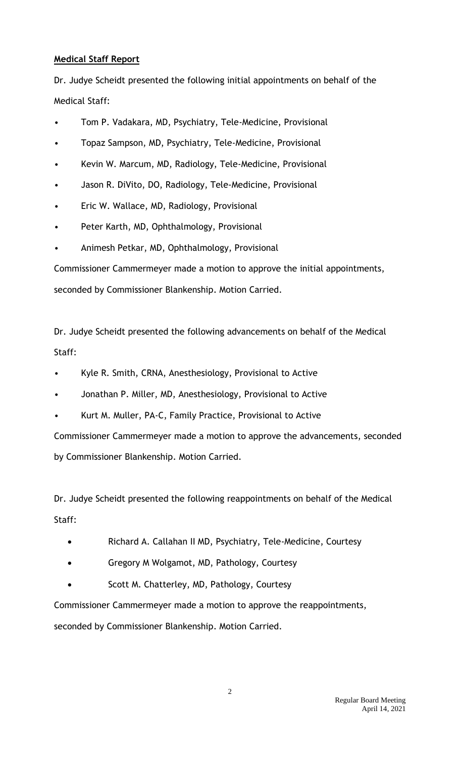## **Medical Staff Report**

Dr. Judye Scheidt presented the following initial appointments on behalf of the Medical Staff:

- Tom P. Vadakara, MD, Psychiatry, Tele-Medicine, Provisional
- Topaz Sampson, MD, Psychiatry, Tele-Medicine, Provisional
- Kevin W. Marcum, MD, Radiology, Tele-Medicine, Provisional
- Jason R. DiVito, DO, Radiology, Tele-Medicine, Provisional
- Eric W. Wallace, MD, Radiology, Provisional
- Peter Karth, MD, Ophthalmology, Provisional
- Animesh Petkar, MD, Ophthalmology, Provisional

Commissioner Cammermeyer made a motion to approve the initial appointments, seconded by Commissioner Blankenship. Motion Carried.

Dr. Judye Scheidt presented the following advancements on behalf of the Medical Staff:

- Kyle R. Smith, CRNA, Anesthesiology, Provisional to Active
- Jonathan P. Miller, MD, Anesthesiology, Provisional to Active
- Kurt M. Muller, PA-C, Family Practice, Provisional to Active

Commissioner Cammermeyer made a motion to approve the advancements, seconded by Commissioner Blankenship. Motion Carried.

Dr. Judye Scheidt presented the following reappointments on behalf of the Medical Staff:

- Richard A. Callahan II MD, Psychiatry, Tele-Medicine, Courtesy
- Gregory M Wolgamot, MD, Pathology, Courtesy
- Scott M. Chatterley, MD, Pathology, Courtesy

Commissioner Cammermeyer made a motion to approve the reappointments,

seconded by Commissioner Blankenship. Motion Carried.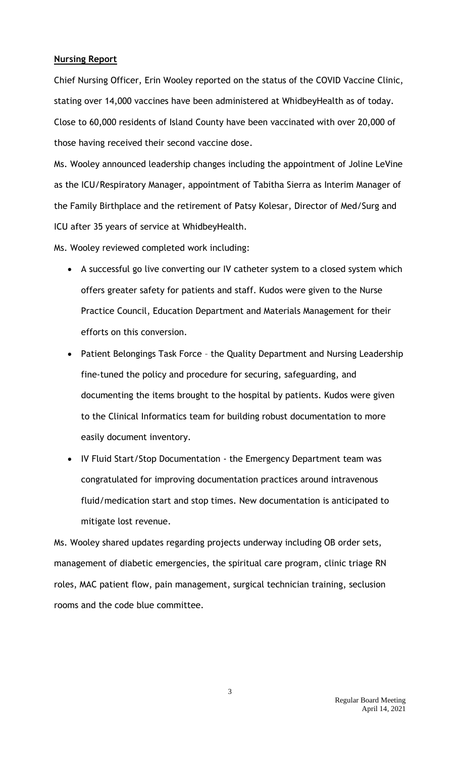## **Nursing Report**

Chief Nursing Officer, Erin Wooley reported on the status of the COVID Vaccine Clinic, stating over 14,000 vaccines have been administered at WhidbeyHealth as of today. Close to 60,000 residents of Island County have been vaccinated with over 20,000 of those having received their second vaccine dose.

Ms. Wooley announced leadership changes including the appointment of Joline LeVine as the ICU/Respiratory Manager, appointment of Tabitha Sierra as Interim Manager of the Family Birthplace and the retirement of Patsy Kolesar, Director of Med/Surg and ICU after 35 years of service at WhidbeyHealth.

Ms. Wooley reviewed completed work including:

- A successful go live converting our IV catheter system to a closed system which offers greater safety for patients and staff. Kudos were given to the Nurse Practice Council, Education Department and Materials Management for their efforts on this conversion.
- Patient Belongings Task Force the Quality Department and Nursing Leadership fine-tuned the policy and procedure for securing, safeguarding, and documenting the items brought to the hospital by patients. Kudos were given to the Clinical Informatics team for building robust documentation to more easily document inventory.
- IV Fluid Start/Stop Documentation the Emergency Department team was congratulated for improving documentation practices around intravenous fluid/medication start and stop times. New documentation is anticipated to mitigate lost revenue.

Ms. Wooley shared updates regarding projects underway including OB order sets, management of diabetic emergencies, the spiritual care program, clinic triage RN roles, MAC patient flow, pain management, surgical technician training, seclusion rooms and the code blue committee.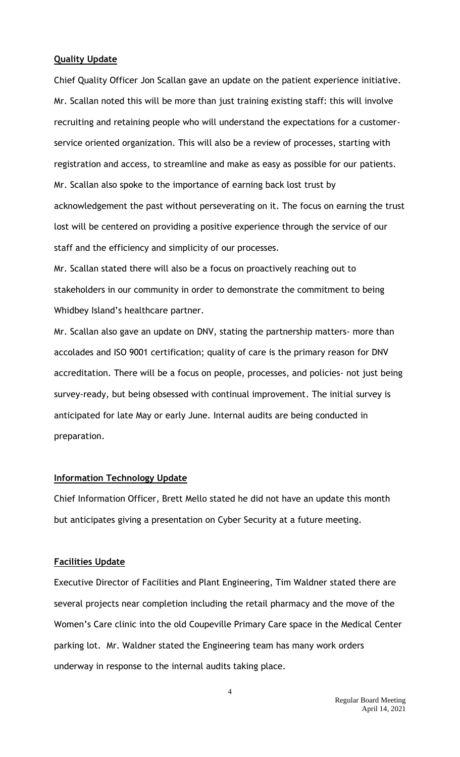## **Quality Update**

Chief Quality Officer Jon Scallan gave an update on the patient experience initiative. Mr. Scallan noted this will be more than just training existing staff: this will involve recruiting and retaining people who will understand the expectations for a customerservice oriented organization. This will also be a review of processes, starting with registration and access, to streamline and make as easy as possible for our patients. Mr. Scallan also spoke to the importance of earning back lost trust by acknowledgement the past without perseverating on it. The focus on earning the trust lost will be centered on providing a positive experience through the service of our staff and the efficiency and simplicity of our processes.

Mr. Scallan stated there will also be a focus on proactively reaching out to stakeholders in our community in order to demonstrate the commitment to being Whidbey Island's healthcare partner.

Mr. Scallan also gave an update on DNV, stating the partnership matters- more than accolades and ISO 9001 certification; quality of care is the primary reason for DNV accreditation. There will be a focus on people, processes, and policies- not just being survey-ready, but being obsessed with continual improvement. The initial survey is anticipated for late May or early June. Internal audits are being conducted in preparation.

## **Information Technology Update**

Chief Information Officer, Brett Mello stated he did not have an update this month but anticipates giving a presentation on Cyber Security at a future meeting.

## **Facilities Update**

Executive Director of Facilities and Plant Engineering, Tim Waldner stated there are several projects near completion including the retail pharmacy and the move of the Women's Care clinic into the old Coupeville Primary Care space in the Medical Center parking lot. Mr. Waldner stated the Engineering team has many work orders underway in response to the internal audits taking place.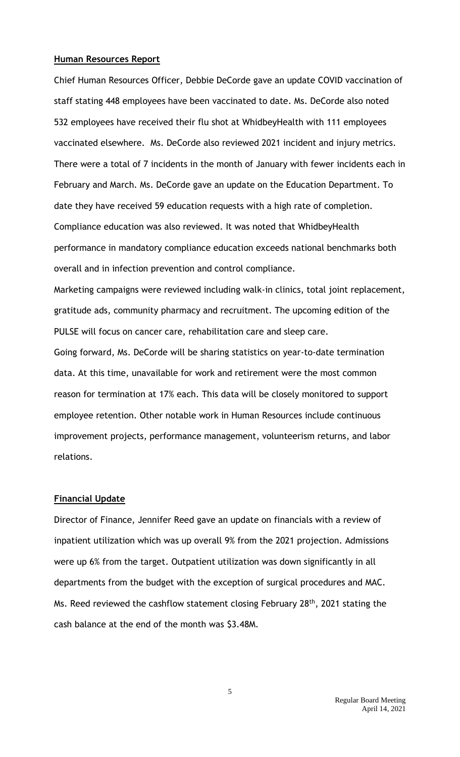#### **Human Resources Report**

Chief Human Resources Officer, Debbie DeCorde gave an update COVID vaccination of staff stating 448 employees have been vaccinated to date. Ms. DeCorde also noted 532 employees have received their flu shot at WhidbeyHealth with 111 employees vaccinated elsewhere. Ms. DeCorde also reviewed 2021 incident and injury metrics. There were a total of 7 incidents in the month of January with fewer incidents each in February and March. Ms. DeCorde gave an update on the Education Department. To date they have received 59 education requests with a high rate of completion. Compliance education was also reviewed. It was noted that WhidbeyHealth performance in mandatory compliance education exceeds national benchmarks both overall and in infection prevention and control compliance.

Marketing campaigns were reviewed including walk-in clinics, total joint replacement, gratitude ads, community pharmacy and recruitment. The upcoming edition of the PULSE will focus on cancer care, rehabilitation care and sleep care.

Going forward, Ms. DeCorde will be sharing statistics on year-to-date termination data. At this time, unavailable for work and retirement were the most common reason for termination at 17% each. This data will be closely monitored to support employee retention. Other notable work in Human Resources include continuous improvement projects, performance management, volunteerism returns, and labor relations.

#### **Financial Update**

Director of Finance, Jennifer Reed gave an update on financials with a review of inpatient utilization which was up overall 9% from the 2021 projection. Admissions were up 6% from the target. Outpatient utilization was down significantly in all departments from the budget with the exception of surgical procedures and MAC. Ms. Reed reviewed the cashflow statement closing February 28<sup>th</sup>, 2021 stating the cash balance at the end of the month was \$3.48M.

5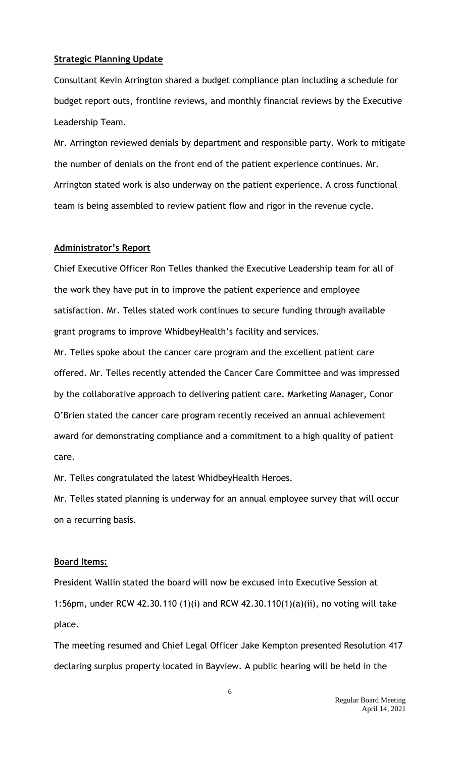### **Strategic Planning Update**

Consultant Kevin Arrington shared a budget compliance plan including a schedule for budget report outs, frontline reviews, and monthly financial reviews by the Executive Leadership Team.

Mr. Arrington reviewed denials by department and responsible party. Work to mitigate the number of denials on the front end of the patient experience continues. Mr. Arrington stated work is also underway on the patient experience. A cross functional team is being assembled to review patient flow and rigor in the revenue cycle.

## **Administrator's Report**

Chief Executive Officer Ron Telles thanked the Executive Leadership team for all of the work they have put in to improve the patient experience and employee satisfaction. Mr. Telles stated work continues to secure funding through available grant programs to improve WhidbeyHealth's facility and services.

Mr. Telles spoke about the cancer care program and the excellent patient care offered. Mr. Telles recently attended the Cancer Care Committee and was impressed by the collaborative approach to delivering patient care. Marketing Manager, Conor O'Brien stated the cancer care program recently received an annual achievement award for demonstrating compliance and a commitment to a high quality of patient care.

Mr. Telles congratulated the latest WhidbeyHealth Heroes.

Mr. Telles stated planning is underway for an annual employee survey that will occur on a recurring basis.

#### **Board Items:**

President Wallin stated the board will now be excused into Executive Session at 1:56pm, under RCW 42.30.110 (1)(i) and RCW 42.30.110(1)(a)(ii), no voting will take place.

The meeting resumed and Chief Legal Officer Jake Kempton presented Resolution 417 declaring surplus property located in Bayview. A public hearing will be held in the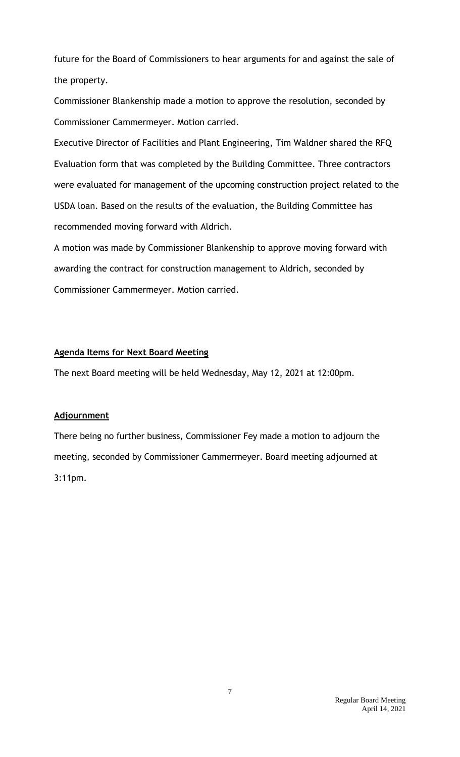future for the Board of Commissioners to hear arguments for and against the sale of the property.

Commissioner Blankenship made a motion to approve the resolution, seconded by Commissioner Cammermeyer. Motion carried.

Executive Director of Facilities and Plant Engineering, Tim Waldner shared the RFQ Evaluation form that was completed by the Building Committee. Three contractors were evaluated for management of the upcoming construction project related to the USDA loan. Based on the results of the evaluation, the Building Committee has recommended moving forward with Aldrich.

A motion was made by Commissioner Blankenship to approve moving forward with awarding the contract for construction management to Aldrich, seconded by Commissioner Cammermeyer. Motion carried.

## **Agenda Items for Next Board Meeting**

The next Board meeting will be held Wednesday, May 12, 2021 at 12:00pm.

# **Adjournment**

There being no further business, Commissioner Fey made a motion to adjourn the meeting, seconded by Commissioner Cammermeyer. Board meeting adjourned at 3:11pm.